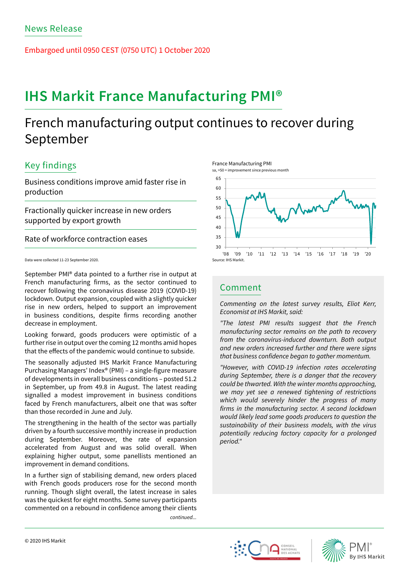Embargoed until 0950 CEST (0750 UTC) 1 October 2020

# **IHS Markit France Manufacturing PMI®**

## French manufacturing output continues to recover during September

## Key findings

Business conditions improve amid faster rise in production

Fractionally quicker increase in new orders supported by export growth

Rate of workforce contraction eases

Data were collected 11-23 September 2020.

September PMI® data pointed to a further rise in output at French manufacturing firms, as the sector continued to recover following the coronavirus disease 2019 (COVID-19) lockdown. Output expansion, coupled with a slightly quicker rise in new orders, helped to support an improvement in business conditions, despite firms recording another decrease in employment.

Looking forward, goods producers were optimistic of a further rise in output over the coming 12 months amid hopes that the effects of the pandemic would continue to subside.

The seasonally adjusted IHS Markit France Manufacturing Purchasing Managers' Index® (PMI) – a single-figure measure of developments in overall business conditions – posted 51.2 in September, up from 49.8 in August. The latest reading signalled a modest improvement in business conditions faced by French manufacturers, albeit one that was softer than those recorded in June and July.

The strengthening in the health of the sector was partially driven by a fourth successive monthly increase in production during September. Moreover, the rate of expansion accelerated from August and was solid overall. When explaining higher output, some panellists mentioned an improvement in demand conditions.

In a further sign of stabilising demand, new orders placed with French goods producers rose for the second month running. Though slight overall, the latest increase in sales was the quickest for eight months. Some survey participants commented on a rebound in confidence among their clients *continued...*





## Comment

*Commenting on the latest survey results, Eliot Kerr, Economist at IHS Markit, said:* 

*"The latest PMI results suggest that the French manufacturing sector remains on the path to recovery from the coronavirus-induced downturn. Both output and new orders increased further and there were signs*  that business confidence began to gather momentum.

*"However, with COVID-19 infection rates accelerating during September, there is a danger that the recovery could be thwarted. With the winter months approaching, we may yet see a renewed tightening of restrictions which would severely hinder the progress of many*  firms in the manufacturing sector. A second lockdown *would likely lead some goods producers to question the sustainability of their business models, with the virus potentially reducing factory capacity for a prolonged period."*